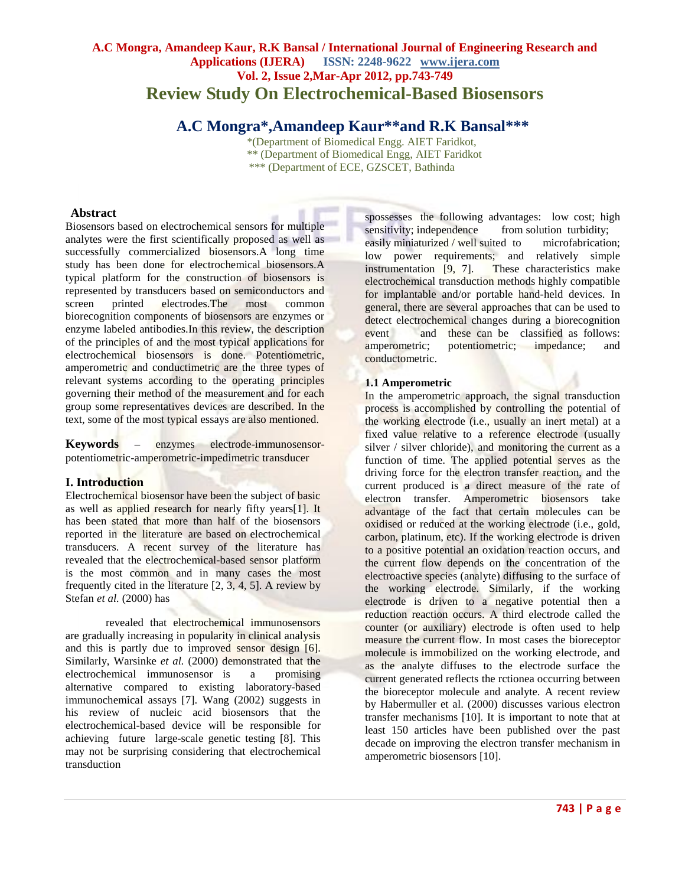# **A.C Mongra, Amandeep Kaur, R.K Bansal / International Journal of Engineering Research and Applications (IJERA) ISSN: 2248-9622 www.ijera.com Vol. 2, Issue 2,Mar-Apr 2012, pp.743-749 Review Study On Electrochemical-Based Biosensors**

# **A.C Mongra\*,Amandeep Kaur\*\*and R.K Bansal\*\*\***

 \*(Department of Biomedical Engg. AIET Faridkot, \*\* (Department of Biomedical Engg, AIET Faridkot \*\*\* (Department of ECE, GZSCET, Bathinda

# **Abstract**

Biosensors based on electrochemical sensors for multiple analytes were the first scientifically proposed as well as successfully commercialized biosensors.A long time study has been done for electrochemical biosensors.A typical platform for the construction of biosensors is represented by transducers based on semiconductors and screen printed electrodes.The most common biorecognition components of biosensors are enzymes or enzyme labeled antibodies.In this review, the description of the principles of and the most typical applications for electrochemical biosensors is done. Potentiometric, amperometric and conductimetric are the three types of relevant systems according to the operating principles governing their method of the measurement and for each group some representatives devices are described. In the text, some of the most typical essays are also mentioned.

**Keywords –** enzymes electrode-immunosensorpotentiometric-amperometric-impedimetric transducer

# **I. Introduction**

Electrochemical biosensor have been the subject of basic as well as applied research for nearly fifty years[1]. It has been stated that more than half of the biosensors reported in the literature are based on electrochemical transducers. A recent survey of the literature has revealed that the electrochemical-based sensor platform is the most common and in many cases the most frequently cited in the literature [2, 3, 4, 5]. A review by Stefan *et al.* (2000) has

revealed that electrochemical immunosensors are gradually increasing in popularity in clinical analysis and this is partly due to improved sensor design [6]. Similarly, Warsinke *et al.* (2000) demonstrated that the electrochemical immunosensor is a promising alternative compared to existing laboratory-based immunochemical assays [7]. Wang (2002) suggests in his review of nucleic acid biosensors that the electrochemical-based device will be responsible for achieving future large-scale genetic testing [8]. This may not be surprising considering that electrochemical transduction

spossesses the following advantages: low cost; high sensitivity; independence from solution turbidity; easily miniaturized / well suited to microfabrication; low power requirements; and relatively simple instrumentation [9, 7]. These characteristics make electrochemical transduction methods highly compatible for implantable and/or portable hand-held devices. In general, there are several approaches that can be used to detect electrochemical changes during a biorecognition event and these can be classified as follows: amperometric; potentiometric; impedance; and conductometric.

# **1.1 Amperometric**

In the amperometric approach, the signal transduction process is accomplished by controlling the potential of the working electrode (i.e., usually an inert metal) at a fixed value relative to a reference electrode (usually silver / silver chloride), and monitoring the current as a function of time. The applied potential serves as the driving force for the electron transfer reaction, and the current produced is a direct measure of the rate of electron transfer. Amperometric biosensors take advantage of the fact that certain molecules can be oxidised or reduced at the working electrode (i.e., gold, carbon, platinum, etc). If the working electrode is driven to a positive potential an oxidation reaction occurs, and the current flow depends on the concentration of the electroactive species (analyte) diffusing to the surface of the working electrode. Similarly, if the working electrode is driven to a negative potential then a reduction reaction occurs. A third electrode called the counter (or auxiliary) electrode is often used to help measure the current flow. In most cases the bioreceptor molecule is immobilized on the working electrode, and as the analyte diffuses to the electrode surface the current generated reflects the rctionea occurring between the bioreceptor molecule and analyte. A recent review by Habermuller et al. (2000) discusses various electron transfer mechanisms [10]. It is important to note that at least 150 articles have been published over the past decade on improving the electron transfer mechanism in amperometric biosensors [10].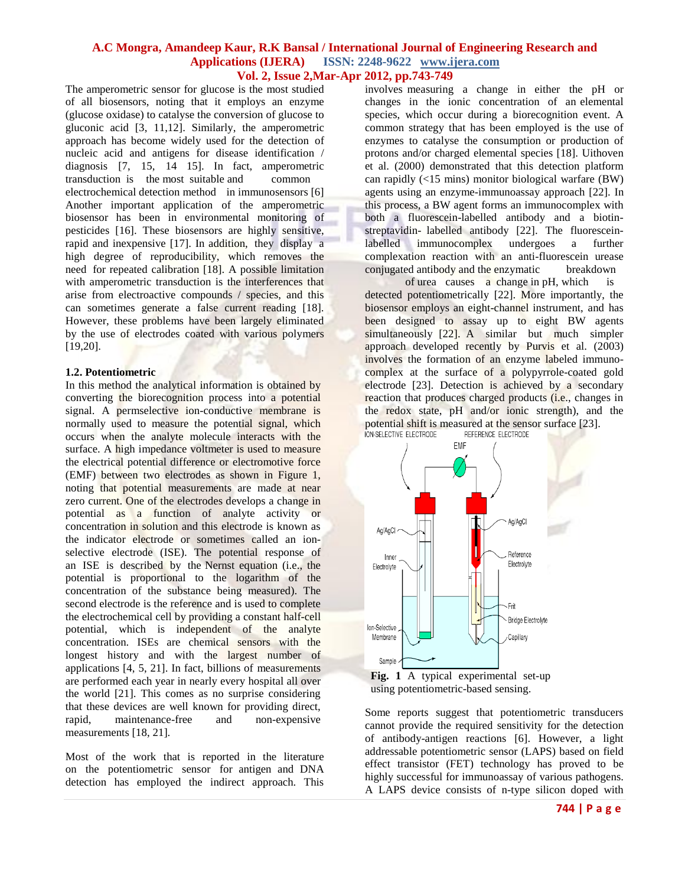The amperometric sensor for glucose is the most studied of all biosensors, noting that it employs an enzyme (glucose oxidase) to catalyse the conversion of glucose to gluconic acid [3, 11,12]. Similarly, the amperometric approach has become widely used for the detection of nucleic acid and antigens for disease identification / diagnosis [7, 15, 14 15]. In fact, amperometric transduction is the most suitable and common electrochemical detection method in immunosensors [6] Another important application of the amperometric biosensor has been in environmental monitoring of pesticides [16]. These biosensors are highly sensitive, rapid and inexpensive [17]. In addition, they display a high degree of reproducibility, which removes the need for repeated calibration [18]. A possible limitation with amperometric transduction is the interferences that arise from electroactive compounds / species, and this can sometimes generate a false current reading [18]. However, these problems have been largely eliminated by the use of electrodes coated with various polymers [19,20].

#### **1.2. Potentiometric**

In this method the analytical information is obtained by converting the biorecognition process into a potential signal. A permselective ion-conductive membrane is normally used to measure the potential signal, which occurs when the analyte molecule interacts with the surface. A high impedance voltmeter is used to measure the electrical potential difference or electromotive force (EMF) between two electrodes as shown in Figure 1, noting that potential measurements are made at near zero current. One of the electrodes develops a change in potential as a function of analyte activity or concentration in solution and this electrode is known as the indicator electrode or sometimes called an ionselective electrode (ISE). The potential response of an ISE is described by the Nernst equation (i.e., the potential is proportional to the logarithm of the concentration of the substance being measured). The second electrode is the reference and is used to complete the electrochemical cell by providing a constant half-cell potential, which is independent of the analyte concentration. ISEs are chemical sensors with the longest history and with the largest number of applications [4, 5, 21]. In fact, billions of measurements are performed each year in nearly every hospital all over the world [21]. This comes as no surprise considering that these devices are well known for providing direct, rapid, maintenance-free and non-expensive measurements [18, 21].

Most of the work that is reported in the literature on the potentiometric sensor for antigen and DNA detection has employed the indirect approach. This

involves measuring a change in either the pH or changes in the ionic concentration of an elemental species, which occur during a biorecognition event. A common strategy that has been employed is the use of enzymes to catalyse the consumption or production of protons and/or charged elemental species [18]. Uithoven et al. (2000) demonstrated that this detection platform can rapidly (<15 mins) monitor biological warfare (BW) agents using an enzyme-immunoassay approach [22]. In this process, a BW agent forms an immunocomplex with both a fluorescein-labelled antibody and a biotinstreptavidin- labelled antibody [22]. The fluoresceinlabelled immunocomplex undergoes a further complexation reaction with an anti-fluorescein urease conjugated antibody and the enzymatic breakdown

of urea causes a change in pH, which is detected potentiometrically [22]. More importantly, the biosensor employs an eight-channel instrument, and has been designed to assay up to eight BW agents simultaneously [22]. A similar but much simpler approach developed recently by Purvis et al. (2003) involves the formation of an enzyme labeled immunocomplex at the surface of a polypyrrole-coated gold electrode [23]. Detection is achieved by a secondary reaction that produces charged products (i.e., changes in the redox state, pH and/or ionic strength), and the potential shift is measured at the sensor surface [23].<br>ION-SELECTIVE ELECTRODE REFERENCE ELECTRODE



using potentiometric-based sensing.

Some reports suggest that potentiometric transducers cannot provide the required sensitivity for the detection of antibody-antigen reactions [6]. However, a light addressable potentiometric sensor (LAPS) based on field effect transistor (FET) technology has proved to be highly successful for immunoassay of various pathogens. A LAPS device consists of n-type silicon doped with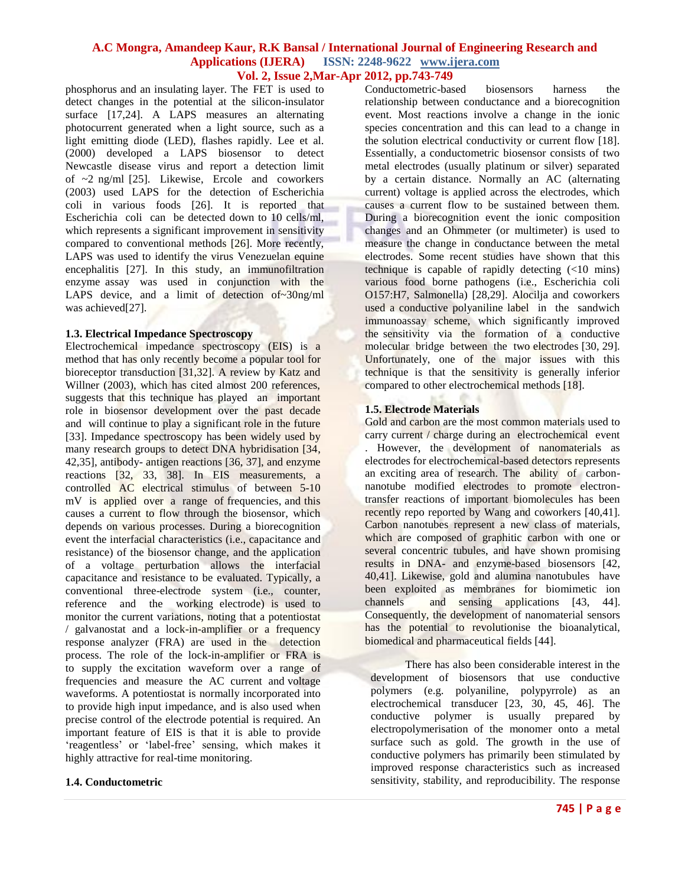phosphorus and an insulating layer. The FET is used to detect changes in the potential at the silicon-insulator surface [17,24]. A LAPS measures an alternating photocurrent generated when a light source, such as a light emitting diode (LED), flashes rapidly. Lee et al. (2000) developed a LAPS biosensor to detect Newcastle disease virus and report a detection limit of ~2 ng/ml [25]. Likewise, Ercole and coworkers (2003) used LAPS for the detection of Escherichia coli in various foods [26]. It is reported that Escherichia coli can be detected down to 10 cells/ml, which represents a significant improvement in sensitivity compared to conventional methods [26]. More recently, LAPS was used to identify the virus Venezuelan equine encephalitis [27]. In this study, an immunofiltration enzyme assay was used in conjunction with the LAPS device, and a limit of detection of~30ng/ml was achieved[27].

#### **1.3. Electrical Impedance Spectroscopy**

Electrochemical impedance spectroscopy (EIS) is a method that has only recently become a popular tool for bioreceptor transduction [31,32]. A review by Katz and Willner (2003), which has cited almost 200 references, suggests that this technique has played an important role in biosensor development over the past decade and will continue to play a significant role in the future [33]. Impedance spectroscopy has been widely used by many research groups to detect DNA hybridisation [34, 42,35], antibody- antigen reactions [36, 37], and enzyme reactions [32, 33, 38]. In EIS measurements, a controlled AC electrical stimulus of between 5-10 mV is applied over a range of frequencies, and this causes a current to flow through the biosensor, which depends on various processes. During a biorecognition event the interfacial characteristics (i.e., capacitance and resistance) of the biosensor change, and the application of a voltage perturbation allows the interfacial capacitance and resistance to be evaluated. Typically, a conventional three-electrode system (i.e., counter, reference and the working electrode) is used to monitor the current variations, noting that a potentiostat / galvanostat and a lock-in-amplifier or a frequency response analyzer (FRA) are used in the detection process. The role of the lock-in-amplifier or FRA is to supply the excitation waveform over a range of frequencies and measure the AC current and voltage waveforms. A potentiostat is normally incorporated into to provide high input impedance, and is also used when precise control of the electrode potential is required. An important feature of EIS is that it is able to provide 'reagentless' or 'label-free' sensing, which makes it highly attractive for real-time monitoring.

#### **1.4. Conductometric**

Conductometric-based biosensors harness the relationship between conductance and a biorecognition event. Most reactions involve a change in the ionic species concentration and this can lead to a change in the solution electrical conductivity or current flow [18]. Essentially, a conductometric biosensor consists of two metal electrodes (usually platinum or silver) separated by a certain distance. Normally an AC (alternating current) voltage is applied across the electrodes, which causes a current flow to be sustained between them. During a biorecognition event the ionic composition changes and an Ohmmeter (or multimeter) is used to measure the change in conductance between the metal electrodes. Some recent studies have shown that this technique is capable of rapidly detecting  $\left( < 10 \right)$  mins) various food borne pathogens (i.e., Escherichia coli O157:H7, Salmonella) [28,29]. Alocilja and coworkers used a conductive polyaniline label in the sandwich immunoassay scheme, which significantly improved the sensitivity via the formation of a conductive molecular bridge between the two electrodes [30, 29]. Unfortunately, one of the major issues with this technique is that the sensitivity is generally inferior compared to other electrochemical methods [18].

### **1.5. Electrode Materials**

Gold and carbon are the most common materials used to carry current / charge during an electrochemical event

. However, the development of nanomaterials as electrodes for electrochemical-based detectors represents an exciting area of research. The ability of carbonnanotube modified electrodes to promote electrontransfer reactions of important biomolecules has been recently repo reported by Wang and coworkers [40,41]. Carbon nanotubes represent a new class of materials, which are composed of graphitic carbon with one or several concentric tubules, and have shown promising results in DNA- and enzyme-based biosensors [42, 40,41]. Likewise, gold and alumina nanotubules have been exploited as membranes for biomimetic ion channels and sensing applications [43, 44]. Consequently, the development of nanomaterial sensors has the potential to revolutionise the bioanalytical, biomedical and pharmaceutical fields [44].

There has also been considerable interest in the development of biosensors that use conductive polymers (e.g. polyaniline, polypyrrole) as an electrochemical transducer [23, 30, 45, 46]. The conductive polymer is usually prepared by electropolymerisation of the monomer onto a metal surface such as gold. The growth in the use of conductive polymers has primarily been stimulated by improved response characteristics such as increased sensitivity, stability, and reproducibility. The response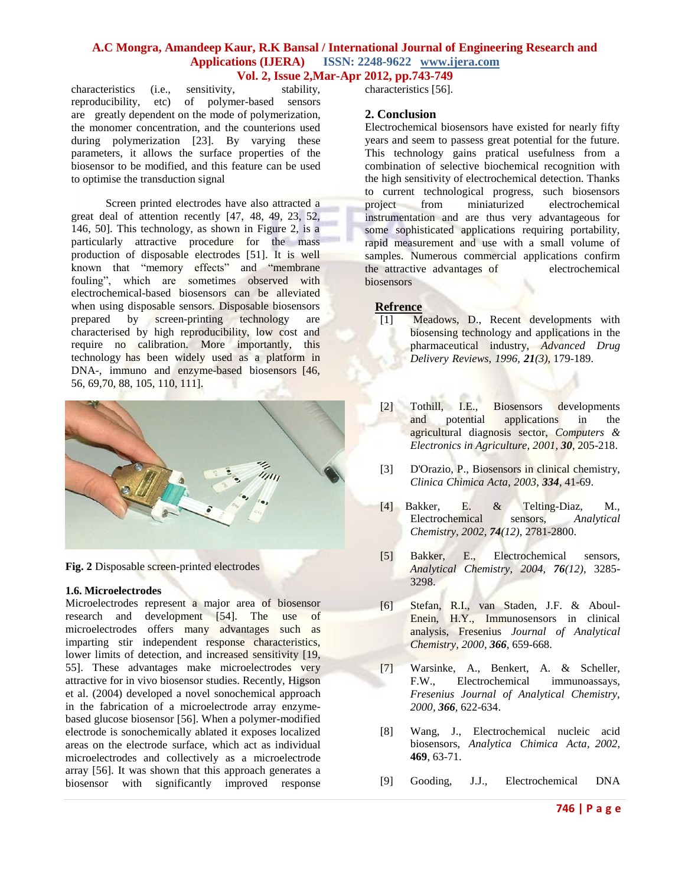characteristics (i.e., sensitivity, stability, reproducibility, etc) of polymer-based sensors are greatly dependent on the mode of polymerization, the monomer concentration, and the counterions used during polymerization [23]. By varying these parameters, it allows the surface properties of the biosensor to be modified, and this feature can be used to optimise the transduction signal

Screen printed electrodes have also attracted a great deal of attention recently [47, 48, 49, 23, 52, 146, 50]. This technology, as shown in Figure 2, is a particularly attractive procedure for the mass production of disposable electrodes [51]. It is well known that "memory effects" and "membrane fouling", which are sometimes observed with electrochemical-based biosensors can be alleviated when using disposable sensors. Disposable biosensors prepared by screen-printing technology are characterised by high reproducibility, low cost and require no calibration. More importantly, this technology has been widely used as a platform in DNA-, immuno and enzyme-based biosensors [46, 56, 69,70, 88, 105, 110, 111].



**Fig. 2** Disposable screen-printed electrodes

#### **1.6. Microelectrodes**

Microelectrodes represent a major area of biosensor research and development [54]. The use of microelectrodes offers many advantages such as imparting stir independent response characteristics, lower limits of detection, and increased sensitivity [19, 55]. These advantages make microelectrodes very attractive for in vivo biosensor studies. Recently, Higson et al. (2004) developed a novel sonochemical approach in the fabrication of a microelectrode array enzymebased glucose biosensor [56]. When a polymer-modified electrode is sonochemically ablated it exposes localized areas on the electrode surface, which act as individual microelectrodes and collectively as a microelectrode array [56]. It was shown that this approach generates a biosensor with significantly improved response

characteristics [56].

### **2. Conclusion**

Electrochemical biosensors have existed for nearly fifty years and seem to passess great potential for the future. This technology gains pratical usefulness from a combination of selective biochemical recognition with the high sensitivity of electrochemical detection. Thanks to current technological progress, such biosensors project from miniaturized electrochemical instrumentation and are thus very advantageous for some sophisticated applications requiring portability, rapid measurement and use with a small volume of samples. Numerous commercial applications confirm the attractive advantages of electrochemical biosensors

#### **Refrence**

- [1] Meadows, D., Recent developments with biosensing technology and applications in the pharmaceutical industry, *Advanced Drug Delivery Reviews, 1996, 21(3),* 179-189.
- [2] Tothill, I.E., Biosensors developments and potential applications in the agricultural diagnosis sector, *Computers & Electronics in Agriculture, 2001, 30*, 205-218.
- [3] D'Orazio, P., Biosensors in clinical chemistry, *Clinica Chimica Acta, 2003, 334*, 41-69.
- [4] Bakker, E. & Telting-Diaz, M., Electrochemical sensors, *Analytical Chemistry, 2002, 74(12),* 2781-2800.
- [5] Bakker, E., Electrochemical sensors, *Analytical Chemistry, 2004, 76(12),* 3285- 3298.
- [6] Stefan, R.I., van Staden, J.F. & Aboul-Enein, H.Y., Immunosensors in clinical analysis, Fresenius *Journal of Analytical Chemistry, 2000, 366,* 659-668.
- [7] Warsinke, A., Benkert, A. & Scheller, F.W., Electrochemical immunoassays*, Fresenius Journal of Analytical Chemistry, 2000, 366,* 622-634.
- [8] Wang, J., Electrochemical nucleic acid biosensors, *Analytica Chimica Acta, 2002*, **469**, 63-71.
- [9] Gooding, J.J., Electrochemical DNA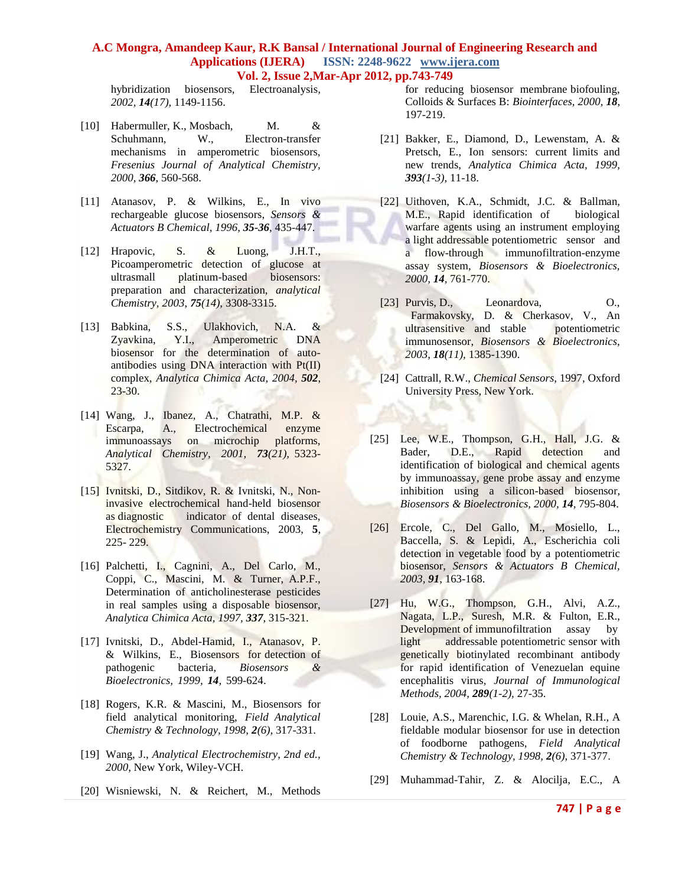hybridization biosensors, Electroanalysis*, 2002, 14(17),* 1149-1156.

- [10] Habermuller, K., Mosbach, M. & Schuhmann, W., Electron-transfer mechanisms in amperometric biosensors, *Fresenius Journal of Analytical Chemistry, 2000, 366*, 560-568.
- [11] Atanasov, P. & Wilkins, E., In vivo rechargeable glucose biosensors, *Sensors & Actuators B Chemical, 1996, 35-36*, 435-447.
- [12] Hrapovic, S. & Luong, J.H.T., Picoamperometric detection of glucose at ultrasmall platinum-based biosensors: preparation and characterization, *analytical Chemistry, 2003, 75(14),* 3308-3315.
- [13] Babkina, S.S., Ulakhovich, N.A. & Zyavkina, Y.I., Amperometric DNA biosensor for the determination of autoantibodies using DNA interaction with Pt(II) complex, *Analytica Chimica Acta, 2004, 502*, 23-30.
- [14] Wang, J., Ibanez, A., Chatrathi, M.P. & Escarpa, A., Electrochemical enzyme immunoassays on microchip platforms, *Analytical Chemistry, 2001, 73(21),* 5323- 5327.
- [15] Ivnitski, D., Sitdikov, R. & Ivnitski, N., Noninvasive electrochemical hand-held biosensor as diagnostic indicator of dental diseases, Electrochemistry Communications, 2003, **5**, 225- 229.
- [16] Palchetti, I., Cagnini, A., Del Carlo, M., Coppi, C., Mascini, M. & Turner, A.P.F., Determination of anticholinesterase pesticides in real samples using a disposable biosensor, *Analytica Chimica Acta, 1997, 337,* 315-321.
- [17] Ivnitski, D., Abdel-Hamid, I., Atanasov, P. & Wilkins, E., Biosensors for detection of pathogenic bacteria, *Biosensors & Bioelectronics, 1999, 14,* 599-624.
- [18] Rogers, K.R. & Mascini, M., Biosensors for field analytical monitoring, *Field Analytical Chemistry & Technology, 1998, 2(6),* 317-331.
- [19] Wang, J., *Analytical Electrochemistry, 2nd ed., 2000*, New York, Wiley-VCH.
- [20] Wisniewski, N. & Reichert, M., Methods

for reducing biosensor membrane biofouling, Colloids & Surfaces B: *Biointerfaces, 2000, 18*, 197-219.

- [21] Bakker, E., Diamond, D., Lewenstam, A. & Pretsch, E., Ion sensors: current limits and new trends, *Analytica Chimica Acta, 1999, 393(1-3),* 11-18.
- [22] Uithoven, K.A., Schmidt, J.C. & Ballman, M.E., Rapid identification of biological warfare agents using an instrument employing a light addressable potentiometric sensor and a flow-through immunofiltration-enzyme assay system, *Biosensors & Bioelectronics, 2000, 14,* 761-770.
- [23] Purvis, D., Leonardova, O., Farmakovsky, D. & Cherkasov, V., An ultrasensitive and stable potentiometric immunosensor, *Biosensors & Bioelectronics, 2003, 18(11),* 1385-1390.
- [24] Cattrall, R.W., *Chemical Sensors,* 1997, Oxford University Press, New York.
- [25] Lee, W.E., Thompson, G.H., Hall, J.G.  $\&$ Bader, D.E., Rapid detection and identification of biological and chemical agents by immunoassay, gene probe assay and enzyme inhibition using a silicon-based biosensor, *Biosensors & Bioelectronics, 2000, 14,* 795-804.
- [26] Ercole, C., Del Gallo, M., Mosiello, L., Baccella, S. & Lepidi, A., Escherichia coli detection in vegetable food by a potentiometric biosensor, *Sensors & Actuators B Chemical, 2003, 91,* 163-168.
- [27] Hu, W.G., Thompson, G.H., Alvi, A.Z., Nagata, L.P., Suresh, M.R. & Fulton, E.R., Development of immunofiltration assay by light addressable potentiometric sensor with genetically biotinylated recombinant antibody for rapid identification of Venezuelan equine encephalitis virus, *Journal of Immunological Methods, 2004, 289(1-2),* 27-35.
- [28] Louie, A.S., Marenchic, I.G. & Whelan, R.H., A fieldable modular biosensor for use in detection of foodborne pathogens, *Field Analytical Chemistry & Technology, 1998, 2(6),* 371-377.
- [29] Muhammad-Tahir, Z. & Alocilja, E.C., A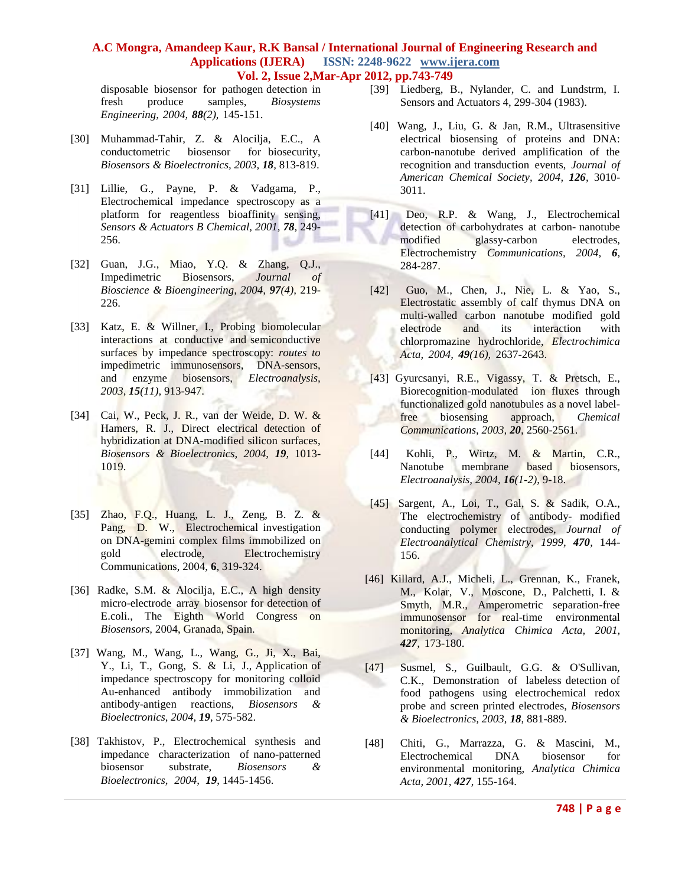disposable biosensor for pathogen detection in fresh produce samples, *Biosystems Engineering, 2004, 88(2),* 145-151.

- [30] Muhammad-Tahir, Z. & Alocilja, E.C., A conductometric biosensor for biosecurity, *Biosensors & Bioelectronics, 2003, 18,* 813-819.
- [31] Lillie, G., Payne, P. & Vadgama, P., Electrochemical impedance spectroscopy as a platform for reagentless bioaffinity sensing, *Sensors & Actuators B Chemical, 2001, 78,* 249- 256.
- [32] Guan, J.G., Miao, Y.Q. & Zhang, Q.J., Impedimetric Biosensors, *Journal of Bioscience & Bioengineering, 2004, 97(4),* 219- 226.
- [33] Katz, E. & Willner, I., Probing biomolecular interactions at conductive and semiconductive surfaces by impedance spectroscopy: *routes to* impedimetric immunosensors, DNA-sensors, and enzyme biosensors, *Electroanalysis, 2003, 15(11),* 913-947.
- [34] Cai, W., Peck, J. R., van der Weide, D. W. & Hamers, R. J., Direct electrical detection of hybridization at DNA-modified silicon surfaces, *Biosensors & Bioelectronics, 2004, 19,* 1013- 1019.
- [35] Zhao, F.Q., Huang, L. J., Zeng, B. Z. & Pang, D. W., Electrochemical investigation on DNA-gemini complex films immobilized on gold electrode, Electrochemistry Communications, 2004, **6**, 319-324.
- [36] Radke, S.M. & Alocilja, E.C., A high density micro-electrode array biosensor for detection of E.coli., The Eighth World Congress on *Biosensors,* 2004, Granada, Spain.
- [37] Wang, M., Wang, L., Wang, G., Ji, X., Bai, Y., Li, T., Gong, S. & Li, J., Application of impedance spectroscopy for monitoring colloid Au-enhanced antibody immobilization and antibody-antigen reactions, *Biosensors & Bioelectronics, 2004, 19,* 575-582.
- [38] Takhistov, P., Electrochemical synthesis and impedance characterization of nano-patterned biosensor substrate, *Biosensors & Bioelectronics, 2004, 19*, 1445-1456.
- [39] Liedberg, B., Nylander, C. and Lundstrm, I. Sensors and Actuators 4, 299-304 (1983).
- [40] Wang, J., Liu, G. & Jan, R.M., Ultrasensitive electrical biosensing of proteins and DNA: carbon-nanotube derived amplification of the recognition and transduction events, *Journal of American Chemical Society, 2004, 126,* 3010- 3011.
- [41] Deo, R.P. & Wang, J., Electrochemical detection of carbohydrates at carbon- nanotube modified glassy-carbon electrodes, Electrochemistry *Communications, 2004, 6,* 284-287.
- [42] Guo, M., Chen, J., Nie, L. & Yao, S., Electrostatic assembly of calf thymus DNA on multi-walled carbon nanotube modified gold electrode and its interaction with chlorpromazine hydrochloride, *Electrochimica Acta, 2004, 49(16),* 2637-2643.
- [43] Gyurcsanyi, R.E., Vigassy, T. & Pretsch, E., Biorecognition-modulated ion fluxes through functionalized gold nanotubules as a novel labelfree biosensing approach, *Chemical Communications, 2003, 20,* 2560-2561.
- [44] Kohli, P., Wirtz, M. & Martin, C.R., Nanotube membrane based biosensors, *Electroanalysis, 2004, 16(1-2)*, 9-18.
- [45] Sargent, A., Loi, T., Gal, S. & Sadik, O.A., The electrochemistry of antibody- modified conducting polymer electrodes, *Journal of Electroanalytical Chemistry, 1999, 470,* 144- 156.
- [46] Killard, A.J., Micheli, L., Grennan, K., Franek, M., Kolar, V., Moscone, D., Palchetti, I. & Smyth, M.R., Amperometric separation-free immunosensor for real-time environmental monitoring, *Analytica Chimica Acta, 2001, 427,* 173-180.
- [47] Susmel, S., Guilbault, G.G. & O'Sullivan, C.K., Demonstration of labeless detection of food pathogens using electrochemical redox probe and screen printed electrodes, *Biosensors & Bioelectronics, 2003, 18*, 881-889.
- [48] Chiti, G., Marrazza, G. & Mascini, M., Electrochemical DNA biosensor for environmental monitoring, *Analytica Chimica Acta, 2001, 427*, 155-164.